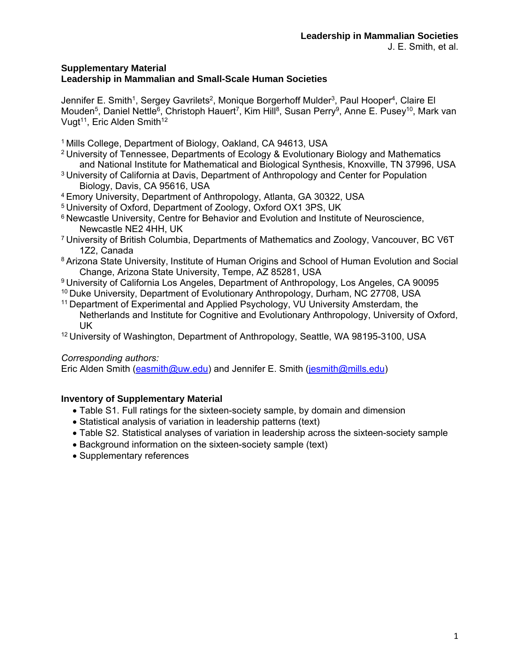# **Supplementary Material Leadership in Mammalian and Small-Scale Human Societies**

Jennifer E. Smith<sup>1</sup>, Sergey Gavrilets<sup>2</sup>, Monique Borgerhoff Mulder<sup>3</sup>, Paul Hooper<sup>4</sup>, Claire El Mouden<sup>5</sup>, Daniel Nettle<sup>6</sup>, Christoph Hauert<sup>7</sup>, Kim Hill<sup>8</sup>, Susan Perry<sup>9</sup>, Anne E. Pusey<sup>10</sup>, Mark van Vugt<sup>11</sup>, Eric Alden Smith<sup>12</sup>

- 1 Mills College, Department of Biology, Oakland, CA 94613, USA
- 2 University of Tennessee, Departments of Ecology & Evolutionary Biology and Mathematics and National Institute for Mathematical and Biological Synthesis, Knoxville, TN 37996, USA
- <sup>3</sup> University of California at Davis, Department of Anthropology and Center for Population Biology, Davis, CA 95616, USA
- 4 Emory University, Department of Anthropology, Atlanta, GA 30322, USA
- 5 University of Oxford, Department of Zoology, Oxford OX1 3PS, UK
- <sup>6</sup> Newcastle University, Centre for Behavior and Evolution and Institute of Neuroscience, Newcastle NE2 4HH, UK
- 7 University of British Columbia, Departments of Mathematics and Zoology, Vancouver, BC V6T 1Z2, Canada
- 8 Arizona State University, Institute of Human Origins and School of Human Evolution and Social Change, Arizona State University, Tempe, AZ 85281, USA
- 9 University of California Los Angeles, Department of Anthropology, Los Angeles, CA 90095 10 Duke University, Department of Evolutionary Anthropology, Durham, NC 27708, USA
- 11 Department of Experimental and Applied Psychology, VU University Amsterdam, the Netherlands and Institute for Cognitive and Evolutionary Anthropology, University of Oxford, UK
- <sup>12</sup> University of Washington, Department of Anthropology, Seattle, WA 98195-3100, USA

# *Corresponding authors:*

Eric Alden Smith (easmith@uw.edu) and Jennifer E. Smith (jesmith@mills.edu)

# **Inventory of Supplementary Material**

- Table S1. Full ratings for the sixteen-society sample, by domain and dimension
- Statistical analysis of variation in leadership patterns (text)
- Table S2. Statistical analyses of variation in leadership across the sixteen-society sample
- Background information on the sixteen-society sample (text)
- Supplementary references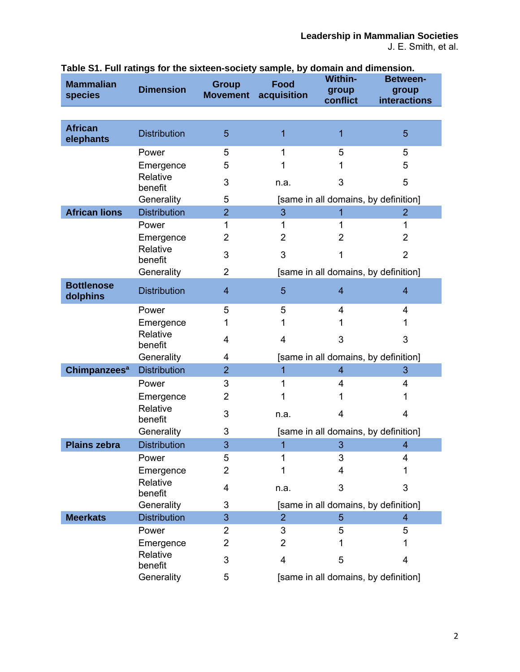| <b>Mammalian</b><br>species   | <b>Dimension</b>    | <b>Group</b><br><b>Movement</b> | <b>Food</b><br>acquisition | <b>Within-</b><br>group<br>conflict  | <b>Between-</b><br>group<br>interactions |
|-------------------------------|---------------------|---------------------------------|----------------------------|--------------------------------------|------------------------------------------|
|                               |                     |                                 |                            |                                      |                                          |
| <b>African</b><br>elephants   | <b>Distribution</b> | 5                               | 1                          | 1                                    | 5                                        |
|                               | Power               | 5                               | 1                          | 5                                    | 5                                        |
|                               | Emergence           | 5                               | 1                          | 1                                    | 5                                        |
|                               | Relative<br>benefit | 3                               | n.a.                       | 3                                    | 5                                        |
|                               | Generality          | 5                               |                            | [same in all domains, by definition] |                                          |
| <b>African lions</b>          | <b>Distribution</b> | $\overline{2}$                  | 3                          | 1                                    | $\overline{2}$                           |
|                               | Power               | 1                               | 1                          | 1                                    | 1                                        |
|                               | Emergence           | 2                               | $\overline{2}$             | 2                                    | $\overline{2}$                           |
|                               | Relative<br>benefit | 3                               | 3                          | 1                                    | $\overline{2}$                           |
|                               | Generality          | 2                               |                            | [same in all domains, by definition] |                                          |
| <b>Bottlenose</b><br>dolphins | <b>Distribution</b> | $\overline{4}$                  | 5                          | $\overline{4}$                       | $\overline{\mathbf{4}}$                  |
|                               | Power               | 5                               | 5                          | 4                                    | 4                                        |
|                               | Emergence           | 1                               | 1                          |                                      | 1                                        |
|                               | Relative<br>benefit | 4                               | 4                          | 3                                    | 3                                        |
|                               | Generality          | 4                               |                            | [same in all domains, by definition] |                                          |
| Chimpanzees <sup>a</sup>      | <b>Distribution</b> | $\overline{2}$                  | 1                          | $\overline{4}$                       | 3                                        |
|                               | Power               | 3                               | 1                          | 4                                    | 4                                        |
|                               | Emergence           | $\overline{2}$                  |                            |                                      | 1                                        |
|                               | Relative<br>benefit | 3                               | n.a.                       | 4                                    | 4                                        |
|                               | Generality          | 3                               |                            | [same in all domains, by definition] |                                          |
| <b>Plains zebra</b>           | <b>Distribution</b> | 3                               | 1                          | 3                                    | $\overline{\mathbf{4}}$                  |
|                               | Power               | 5                               | 1                          | 3                                    | 4                                        |
|                               | Emergence           | $\overline{2}$                  | 1                          | 4                                    | 1                                        |
|                               | Relative<br>benefit | 4                               | n.a.                       | 3                                    | 3                                        |
|                               | Generality          | 3                               |                            | [same in all domains, by definition] |                                          |
| <b>Meerkats</b>               | <b>Distribution</b> | 3                               | $\overline{2}$             | 5                                    | $\overline{4}$                           |
|                               | Power               | $\overline{2}$                  | 3                          | 5                                    | 5                                        |
|                               | Emergence           | $\overline{2}$                  | $\overline{2}$             | 1                                    | 1                                        |
|                               | Relative<br>benefit | 3                               | 4                          | 5                                    | 4                                        |
|                               | Generality          | 5                               |                            | [same in all domains, by definition] |                                          |

**Table S1. Full ratings for the sixteen-society sample, by domain and dimension.**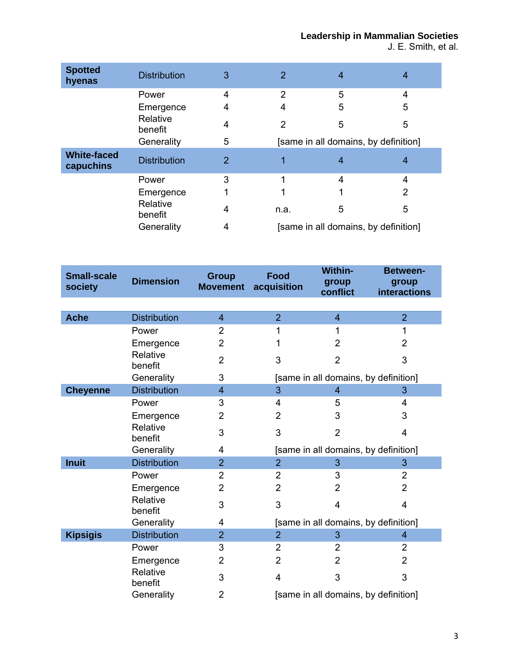J. E. Smith, et al.

| <b>Spotted</b><br>hyenas        | <b>Distribution</b> | 3 | $\overline{2}$                       | $\overline{4}$ | 4              |
|---------------------------------|---------------------|---|--------------------------------------|----------------|----------------|
|                                 | Power               | 4 | 2                                    | 5              | 4              |
|                                 | Emergence           | 4 | 4                                    | 5              | 5              |
|                                 | Relative<br>benefit | 4 | 2                                    | 5              | 5              |
|                                 | Generality          | 5 | [same in all domains, by definition] |                |                |
| <b>White-faced</b><br>capuchins | <b>Distribution</b> | 2 |                                      | 4              | 4              |
|                                 | Power               | 3 |                                      | 4              | 4              |
|                                 | Emergence           |   |                                      |                | $\overline{2}$ |
|                                 | Relative<br>benefit | 4 | n.a.                                 | 5              | 5              |
|                                 | Generality          | 4 | [same in all domains, by definition] |                |                |

| <b>Small-scale</b><br>society | <b>Dimension</b>    | <b>Group</b><br><b>Movement</b> | <b>Food</b><br>acquisition           | <b>Within-</b><br>group<br>conflict  | <b>Between-</b><br>group<br><b>interactions</b> |
|-------------------------------|---------------------|---------------------------------|--------------------------------------|--------------------------------------|-------------------------------------------------|
|                               |                     |                                 |                                      |                                      |                                                 |
| <b>Ache</b>                   | <b>Distribution</b> | $\overline{\mathcal{L}}$        | $\overline{2}$                       | 4                                    | $\overline{2}$                                  |
|                               | Power               | $\overline{2}$                  | 1                                    | 1                                    | 1                                               |
|                               | Emergence           | $\overline{2}$                  |                                      | $\overline{2}$                       | $\overline{2}$                                  |
|                               | Relative<br>benefit | $\overline{2}$                  | 3                                    | $\overline{2}$                       | 3                                               |
|                               | Generality          | 3                               |                                      | [same in all domains, by definition] |                                                 |
| <b>Cheyenne</b>               | <b>Distribution</b> | $\overline{4}$                  | 3                                    | $\overline{4}$                       | 3                                               |
|                               | Power               | 3                               | 4                                    | 5                                    | 4                                               |
|                               | Emergence           | $\overline{2}$                  | $\overline{2}$                       | 3                                    | 3                                               |
|                               | Relative<br>benefit | 3                               | 3                                    | $\overline{2}$                       | $\overline{4}$                                  |
|                               | Generality          | 4                               |                                      | [same in all domains, by definition] |                                                 |
| <b>Inuit</b>                  | <b>Distribution</b> | $\overline{2}$                  | $\overline{2}$                       | 3                                    | 3                                               |
|                               | Power               | $\overline{2}$                  | $\overline{2}$                       | 3                                    | $\overline{2}$                                  |
|                               | Emergence           | $\overline{2}$                  | $\overline{2}$                       | $\overline{2}$                       | $\overline{2}$                                  |
|                               | Relative<br>benefit | 3                               | 3                                    | $\overline{4}$                       | 4                                               |
|                               | Generality          | 4                               |                                      | [same in all domains, by definition] |                                                 |
| <b>Kipsigis</b>               | <b>Distribution</b> | $\overline{2}$                  | $\overline{2}$                       | 3                                    | $\overline{4}$                                  |
|                               | Power               | 3                               | $\overline{2}$                       | $\overline{2}$                       | $\overline{2}$                                  |
|                               | Emergence           | $\overline{2}$                  | $\overline{2}$                       | $\overline{2}$                       | $\overline{2}$                                  |
|                               | Relative<br>benefit | 3                               | $\overline{4}$                       | 3                                    | 3                                               |
|                               | Generality          | $\overline{2}$                  | [same in all domains, by definition] |                                      |                                                 |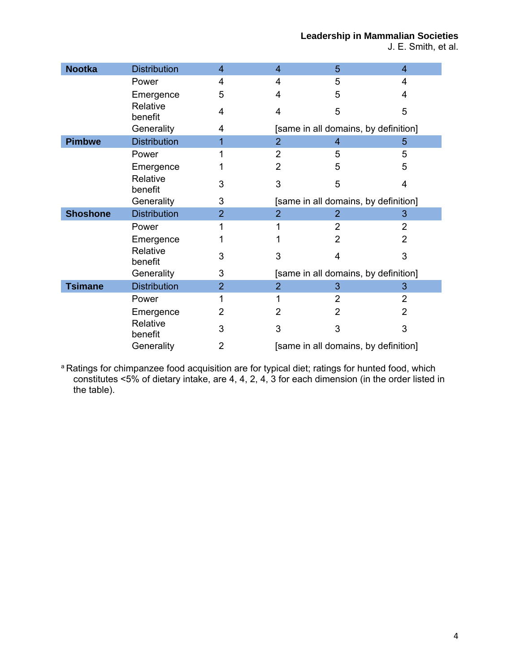J. E. Smith, et al.

| <b>Nootka</b>   | <b>Distribution</b> | 4              | $\overline{4}$ | 5                                    | $\overline{4}$ |  |
|-----------------|---------------------|----------------|----------------|--------------------------------------|----------------|--|
|                 | Power               | 4              | 4              | 5                                    | 4              |  |
|                 | Emergence           | 5              | 4              | 5                                    | 4              |  |
|                 | Relative<br>benefit | 4              | 4              | 5                                    | 5              |  |
|                 | Generality          | 4              |                | [same in all domains, by definition] |                |  |
| <b>Pimbwe</b>   | <b>Distribution</b> | 1              | $\overline{2}$ | 4                                    | 5              |  |
|                 | Power               |                | $\overline{2}$ | 5                                    | 5              |  |
|                 | Emergence           |                | $\overline{2}$ | 5                                    | 5              |  |
|                 | Relative<br>benefit | 3              | 3              | 5                                    | 4              |  |
|                 | Generality          | 3              |                | [same in all domains, by definition] |                |  |
| <b>Shoshone</b> | <b>Distribution</b> | $\overline{2}$ | $\overline{2}$ | $\overline{2}$                       | 3              |  |
|                 | Power               |                |                | 2                                    | 2              |  |
|                 | Emergence           |                |                | $\overline{2}$                       | 2              |  |
|                 | Relative<br>benefit | 3              | 3              | 4                                    | 3              |  |
|                 | Generality          | 3              |                | [same in all domains, by definition] |                |  |
| <b>Tsimane</b>  | <b>Distribution</b> | $\overline{2}$ | $\overline{2}$ | 3                                    | 3              |  |
|                 | Power               |                |                | $\overline{2}$                       | 2              |  |
|                 | Emergence           | 2              | $\overline{2}$ | 2                                    | 2              |  |
|                 | Relative<br>benefit | 3              | 3              | 3                                    | 3              |  |
|                 | Generality          | 2              |                | [same in all domains, by definition] |                |  |

<sup>a</sup> Ratings for chimpanzee food acquisition are for typical diet; ratings for hunted food, which constitutes <5% of dietary intake, are 4, 4, 2, 4, 3 for each dimension (in the order listed in the table).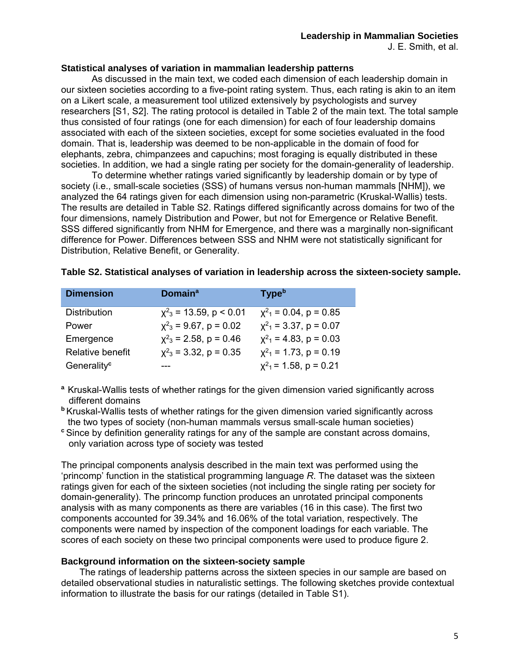#### **Statistical analyses of variation in mammalian leadership patterns**

 As discussed in the main text, we coded each dimension of each leadership domain in our sixteen societies according to a five-point rating system. Thus, each rating is akin to an item on a Likert scale, a measurement tool utilized extensively by psychologists and survey researchers [S1, S2]. The rating protocol is detailed in Table 2 of the main text. The total sample thus consisted of four ratings (one for each dimension) for each of four leadership domains associated with each of the sixteen societies, except for some societies evaluated in the food domain. That is, leadership was deemed to be non-applicable in the domain of food for elephants, zebra, chimpanzees and capuchins; most foraging is equally distributed in these societies. In addition, we had a single rating per society for the domain-generality of leadership.

 To determine whether ratings varied significantly by leadership domain or by type of society (i.e., small-scale societies (SSS) of humans versus non-human mammals [NHM]), we analyzed the 64 ratings given for each dimension using non-parametric (Kruskal-Wallis) tests. The results are detailed in Table S2. Ratings differed significantly across domains for two of the four dimensions, namely Distribution and Power, but not for Emergence or Relative Benefit. SSS differed significantly from NHM for Emergence, and there was a marginally non-significant difference for Power. Differences between SSS and NHM were not statistically significant for Distribution, Relative Benefit, or Generality.

| <b>Dimension</b>        | <b>Domaina</b>                          | <b>Type</b> <sup>b</sup>               |
|-------------------------|-----------------------------------------|----------------------------------------|
| <b>Distribution</b>     | $\chi^2$ <sub>3</sub> = 13.59, p < 0.01 | $\chi^2$ <sub>1</sub> = 0.04, p = 0.85 |
| Power                   | $\chi^2$ <sub>3</sub> = 9.67, p = 0.02  | $x^2$ <sub>1</sub> = 3.37, p = 0.07    |
| Emergence               | $x^2$ <sub>3</sub> = 2.58, p = 0.46     | $x^2$ <sub>1</sub> = 4.83, p = 0.03    |
| Relative benefit        | $\chi^2$ <sub>3</sub> = 3.32, p = 0.35  | $x^2$ <sub>1</sub> = 1.73, p = 0.19    |
| Generality <sup>c</sup> |                                         | $x^2$ <sub>1</sub> = 1.58, p = 0.21    |

|  | Table S2. Statistical analyses of variation in leadership across the sixteen-society sample. |  |  |
|--|----------------------------------------------------------------------------------------------|--|--|
|--|----------------------------------------------------------------------------------------------|--|--|

**<sup>a</sup>**Kruskal-Wallis tests of whether ratings for the given dimension varied significantly across different domains

**<sup>b</sup>**Kruskal-Wallis tests of whether ratings for the given dimension varied significantly across the two types of society (non-human mammals versus small-scale human societies)

**<sup>c</sup>**Since by definition generality ratings for any of the sample are constant across domains, only variation across type of society was tested

The principal components analysis described in the main text was performed using the 'princomp' function in the statistical programming language *R*. The dataset was the sixteen ratings given for each of the sixteen societies (not including the single rating per society for domain-generality). The princomp function produces an unrotated principal components analysis with as many components as there are variables (16 in this case). The first two components accounted for 39.34% and 16.06% of the total variation, respectively. The components were named by inspection of the component loadings for each variable. The scores of each society on these two principal components were used to produce figure 2.

### **Background information on the sixteen-society sample**

 The ratings of leadership patterns across the sixteen species in our sample are based on detailed observational studies in naturalistic settings. The following sketches provide contextual information to illustrate the basis for our ratings (detailed in Table S1).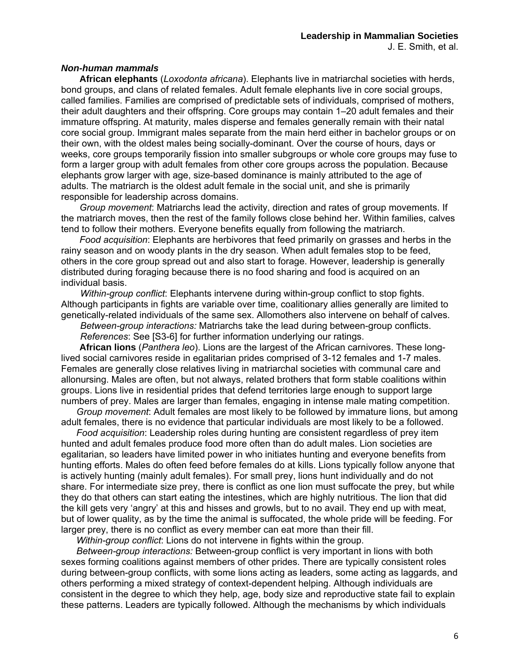#### *Non-human mammals*

 **African elephants** (*Loxodonta africana*). Elephants live in matriarchal societies with herds, bond groups, and clans of related females. Adult female elephants live in core social groups, called families. Families are comprised of predictable sets of individuals, comprised of mothers, their adult daughters and their offspring. Core groups may contain 1–20 adult females and their immature offspring. At maturity, males disperse and females generally remain with their natal core social group. Immigrant males separate from the main herd either in bachelor groups or on their own, with the oldest males being socially-dominant. Over the course of hours, days or weeks, core groups temporarily fission into smaller subgroups or whole core groups may fuse to form a larger group with adult females from other core groups across the population. Because elephants grow larger with age, size-based dominance is mainly attributed to the age of adults. The matriarch is the oldest adult female in the social unit, and she is primarily responsible for leadership across domains.

*Group movement*: Matriarchs lead the activity, direction and rates of group movements. If the matriarch moves, then the rest of the family follows close behind her. Within families, calves tend to follow their mothers. Everyone benefits equally from following the matriarch.

*Food acquisition*: Elephants are herbivores that feed primarily on grasses and herbs in the rainy season and on woody plants in the dry season. When adult females stop to be feed, others in the core group spread out and also start to forage. However, leadership is generally distributed during foraging because there is no food sharing and food is acquired on an individual basis.

*Within-group conflict*: Elephants intervene during within-group conflict to stop fights. Although participants in fights are variable over time, coalitionary allies generally are limited to genetically-related individuals of the same sex. Allomothers also intervene on behalf of calves.

*Between-group interactions:* Matriarchs take the lead during between-group conflicts. *References*: See [S3-6] for further information underlying our ratings.

 **African lions** (*Panthera leo*). Lions are the largest of the African carnivores. These longlived social carnivores reside in egalitarian prides comprised of 3-12 females and 1-7 males. Females are generally close relatives living in matriarchal societies with communal care and allonursing. Males are often, but not always, related brothers that form stable coalitions within groups. Lions live in residential prides that defend territories large enough to support large numbers of prey. Males are larger than females, engaging in intense male mating competition.

*Group movement*: Adult females are most likely to be followed by immature lions, but among adult females, there is no evidence that particular individuals are most likely to be a followed.

*Food acquisition*: Leadership roles during hunting are consistent regardless of prey item hunted and adult females produce food more often than do adult males. Lion societies are egalitarian, so leaders have limited power in who initiates hunting and everyone benefits from hunting efforts. Males do often feed before females do at kills. Lions typically follow anyone that is actively hunting (mainly adult females). For small prey, lions hunt individually and do not share. For intermediate size prey, there is conflict as one lion must suffocate the prey, but while they do that others can start eating the intestines, which are highly nutritious. The lion that did the kill gets very 'angry' at this and hisses and growls, but to no avail. They end up with meat, but of lower quality, as by the time the animal is suffocated, the whole pride will be feeding. For larger prey, there is no conflict as every member can eat more than their fill.

*Within-group conflict*: Lions do not intervene in fights within the group.

 *Between-group interactions:* Between-group conflict is very important in lions with both sexes forming coalitions against members of other prides. There are typically consistent roles during between-group conflicts, with some lions acting as leaders, some acting as laggards, and others performing a mixed strategy of context-dependent helping. Although individuals are consistent in the degree to which they help, age, body size and reproductive state fail to explain these patterns. Leaders are typically followed. Although the mechanisms by which individuals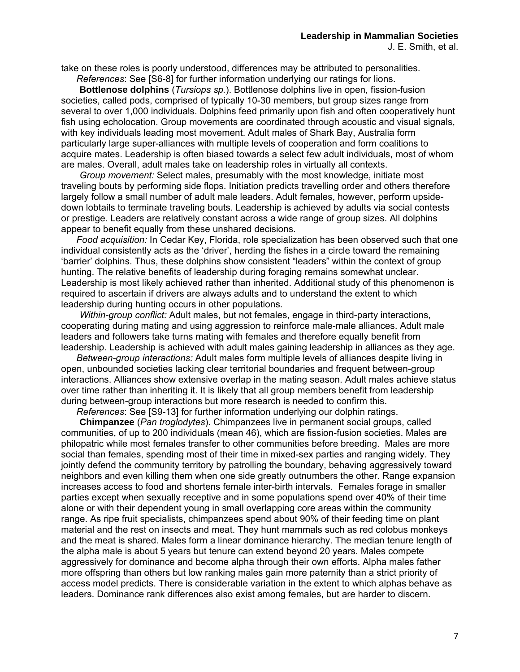take on these roles is poorly understood, differences may be attributed to personalities.  *References*: See [S6-8] for further information underlying our ratings for lions.

 **Bottlenose dolphins** (*Tursiops sp.*). Bottlenose dolphins live in open, fission-fusion societies, called pods, comprised of typically 10-30 members, but group sizes range from several to over 1,000 individuals. Dolphins feed primarily upon fish and often cooperatively hunt fish using echolocation. Group movements are coordinated through acoustic and visual signals, with key individuals leading most movement. Adult males of Shark Bay, Australia form particularly large super-alliances with multiple levels of cooperation and form coalitions to acquire mates. Leadership is often biased towards a select few adult individuals, most of whom are males. Overall, adult males take on leadership roles in virtually all contexts.

 *Group movement:* Select males, presumably with the most knowledge, initiate most traveling bouts by performing side flops. Initiation predicts travelling order and others therefore largely follow a small number of adult male leaders. Adult females, however, perform upsidedown lobtails to terminate traveling bouts. Leadership is achieved by adults via social contests or prestige. Leaders are relatively constant across a wide range of group sizes. All dolphins appear to benefit equally from these unshared decisions.

*Food acquisition:* In Cedar Key, Florida, role specialization has been observed such that one individual consistently acts as the 'driver', herding the fishes in a circle toward the remaining 'barrier' dolphins. Thus, these dolphins show consistent "leaders" within the context of group hunting. The relative benefits of leadership during foraging remains somewhat unclear. Leadership is most likely achieved rather than inherited. Additional study of this phenomenon is required to ascertain if drivers are always adults and to understand the extent to which leadership during hunting occurs in other populations.

 *Within-group conflict:* Adult males, but not females, engage in third-party interactions, cooperating during mating and using aggression to reinforce male-male alliances. Adult male leaders and followers take turns mating with females and therefore equally benefit from leadership. Leadership is achieved with adult males gaining leadership in alliances as they age.

*Between-group interactions:* Adult males form multiple levels of alliances despite living in open, unbounded societies lacking clear territorial boundaries and frequent between-group interactions. Alliances show extensive overlap in the mating season. Adult males achieve status over time rather than inheriting it. It is likely that all group members benefit from leadership during between-group interactions but more research is needed to confirm this.

*References*: See [S9-13] for further information underlying our dolphin ratings.

 **Chimpanzee** (*Pan troglodytes*). Chimpanzees live in permanent social groups, called communities, of up to 200 individuals (mean 46), which are fission-fusion societies. Males are philopatric while most females transfer to other communities before breeding. Males are more social than females, spending most of their time in mixed-sex parties and ranging widely. They jointly defend the community territory by patrolling the boundary, behaving aggressively toward neighbors and even killing them when one side greatly outnumbers the other. Range expansion increases access to food and shortens female inter-birth intervals. Females forage in smaller parties except when sexually receptive and in some populations spend over 40% of their time alone or with their dependent young in small overlapping core areas within the community range. As ripe fruit specialists, chimpanzees spend about 90% of their feeding time on plant material and the rest on insects and meat. They hunt mammals such as red colobus monkeys and the meat is shared. Males form a linear dominance hierarchy. The median tenure length of the alpha male is about 5 years but tenure can extend beyond 20 years. Males compete aggressively for dominance and become alpha through their own efforts. Alpha males father more offspring than others but low ranking males gain more paternity than a strict priority of access model predicts. There is considerable variation in the extent to which alphas behave as leaders. Dominance rank differences also exist among females, but are harder to discern.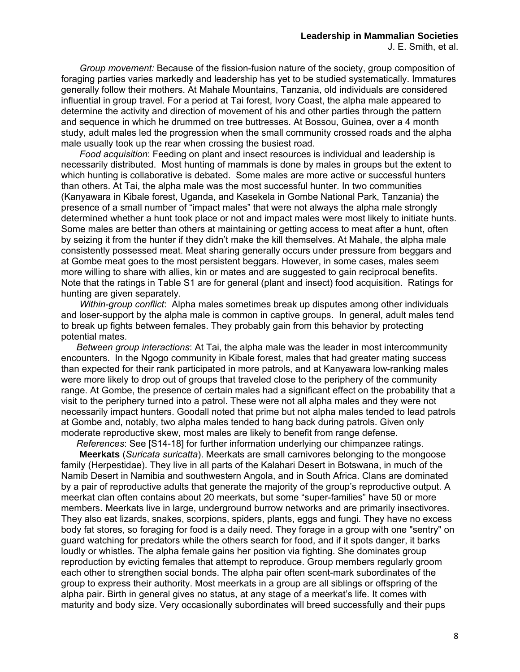*Group movement:* Because of the fission-fusion nature of the society, group composition of foraging parties varies markedly and leadership has yet to be studied systematically. Immatures generally follow their mothers. At Mahale Mountains, Tanzania, old individuals are considered influential in group travel. For a period at Tai forest, Ivory Coast, the alpha male appeared to determine the activity and direction of movement of his and other parties through the pattern and sequence in which he drummed on tree buttresses. At Bossou, Guinea, over a 4 month study, adult males led the progression when the small community crossed roads and the alpha male usually took up the rear when crossing the busiest road.

*Food acquisition*: Feeding on plant and insect resources is individual and leadership is necessarily distributed. Most hunting of mammals is done by males in groups but the extent to which hunting is collaborative is debated. Some males are more active or successful hunters than others. At Tai, the alpha male was the most successful hunter. In two communities (Kanyawara in Kibale forest, Uganda, and Kasekela in Gombe National Park, Tanzania) the presence of a small number of "impact males" that were not always the alpha male strongly determined whether a hunt took place or not and impact males were most likely to initiate hunts. Some males are better than others at maintaining or getting access to meat after a hunt, often by seizing it from the hunter if they didn't make the kill themselves. At Mahale, the alpha male consistently possessed meat. Meat sharing generally occurs under pressure from beggars and at Gombe meat goes to the most persistent beggars. However, in some cases, males seem more willing to share with allies, kin or mates and are suggested to gain reciprocal benefits. Note that the ratings in Table S1 are for general (plant and insect) food acquisition. Ratings for hunting are given separately.

*Within-group conflict*: Alpha males sometimes break up disputes among other individuals and loser-support by the alpha male is common in captive groups. In general, adult males tend to break up fights between females. They probably gain from this behavior by protecting potential mates.

*Between group interactions*: At Tai, the alpha male was the leader in most intercommunity encounters. In the Ngogo community in Kibale forest, males that had greater mating success than expected for their rank participated in more patrols, and at Kanyawara low-ranking males were more likely to drop out of groups that traveled close to the periphery of the community range. At Gombe, the presence of certain males had a significant effect on the probability that a visit to the periphery turned into a patrol. These were not all alpha males and they were not necessarily impact hunters. Goodall noted that prime but not alpha males tended to lead patrols at Gombe and, notably, two alpha males tended to hang back during patrols. Given only moderate reproductive skew, most males are likely to benefit from range defense.

*References*: See [S14-18] for further information underlying our chimpanzee ratings.

 **Meerkats** (*Suricata suricatta*). Meerkats are small carnivores belonging to the mongoose family (Herpestidae). They live in all parts of the Kalahari Desert in Botswana, in much of the Namib Desert in Namibia and southwestern Angola, and in South Africa. Clans are dominated by a pair of reproductive adults that generate the majority of the group's reproductive output. A meerkat clan often contains about 20 meerkats, but some "super-families" have 50 or more members. Meerkats live in large, underground burrow networks and are primarily insectivores. They also eat lizards, snakes, scorpions, spiders, plants, eggs and fungi. They have no excess body fat stores, so foraging for food is a daily need. They forage in a group with one "sentry" on guard watching for predators while the others search for food, and if it spots danger, it barks loudly or whistles. The alpha female gains her position via fighting. She dominates group reproduction by evicting females that attempt to reproduce. Group members regularly groom each other to strengthen social bonds. The alpha pair often scent-mark subordinates of the group to express their authority. Most meerkats in a group are all siblings or offspring of the alpha pair. Birth in general gives no status, at any stage of a meerkat's life. It comes with maturity and body size. Very occasionally subordinates will breed successfully and their pups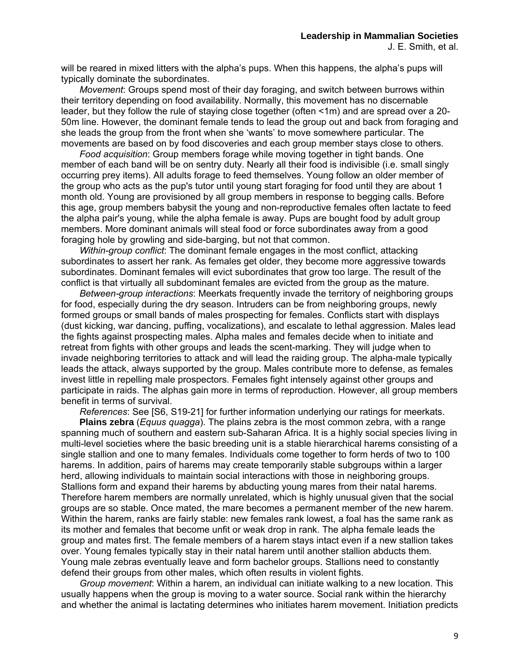will be reared in mixed litters with the alpha's pups. When this happens, the alpha's pups will typically dominate the subordinates.

*Movement*: Groups spend most of their day foraging, and switch between burrows within their territory depending on food availability. Normally, this movement has no discernable leader, but they follow the rule of staying close together (often <1m) and are spread over a 20- 50m line. However, the dominant female tends to lead the group out and back from foraging and she leads the group from the front when she 'wants' to move somewhere particular. The movements are based on by food discoveries and each group member stays close to others.

*Food acquisition*: Group members forage while moving together in tight bands. One member of each band will be on sentry duty. Nearly all their food is indivisible (i.e. small singly occurring prey items). All adults forage to feed themselves. Young follow an older member of the group who acts as the pup's tutor until young start foraging for food until they are about 1 month old. Young are provisioned by all group members in response to begging calls. Before this age, group members babysit the young and non-reproductive females often lactate to feed the alpha pair's young, while the alpha female is away. Pups are bought food by adult group members. More dominant animals will steal food or force subordinates away from a good foraging hole by growling and side-barging, but not that common.

*Within-group conflict*: The dominant female engages in the most conflict, attacking subordinates to assert her rank. As females get older, they become more aggressive towards subordinates. Dominant females will evict subordinates that grow too large. The result of the conflict is that virtually all subdominant females are evicted from the group as the mature.

*Between-group interactions*: Meerkats frequently invade the territory of neighboring groups for food, especially during the dry season. Intruders can be from neighboring groups, newly formed groups or small bands of males prospecting for females. Conflicts start with displays (dust kicking, war dancing, puffing, vocalizations), and escalate to lethal aggression. Males lead the fights against prospecting males. Alpha males and females decide when to initiate and retreat from fights with other groups and leads the scent-marking. They will judge when to invade neighboring territories to attack and will lead the raiding group. The alpha-male typically leads the attack, always supported by the group. Males contribute more to defense, as females invest little in repelling male prospectors. Females fight intensely against other groups and participate in raids. The alphas gain more in terms of reproduction. However, all group members benefit in terms of survival.

*References*: See [S6, S19-21] for further information underlying our ratings for meerkats.

 **Plains zebra** (*Equus quagga*). The plains zebra is the most common zebra, with a range spanning much of southern and eastern sub-Saharan Africa. It is a highly social species living in multi-level societies where the basic breeding unit is a stable hierarchical harems consisting of a single stallion and one to many females. Individuals come together to form herds of two to 100 harems. In addition, pairs of harems may create temporarily stable subgroups within a larger herd, allowing individuals to maintain social interactions with those in neighboring groups. Stallions form and expand their harems by abducting young mares from their natal harems. Therefore harem members are normally unrelated, which is highly unusual given that the social groups are so stable. Once mated, the mare becomes a permanent member of the new harem. Within the harem, ranks are fairly stable: new females rank lowest, a foal has the same rank as its mother and females that become unfit or weak drop in rank. The alpha female leads the group and mates first. The female members of a harem stays intact even if a new stallion takes over. Young females typically stay in their natal harem until another stallion abducts them. Young male zebras eventually leave and form bachelor groups. Stallions need to constantly defend their groups from other males, which often results in violent fights.

*Group movement*: Within a harem, an individual can initiate walking to a new location. This usually happens when the group is moving to a water source. Social rank within the hierarchy and whether the animal is lactating determines who initiates harem movement. Initiation predicts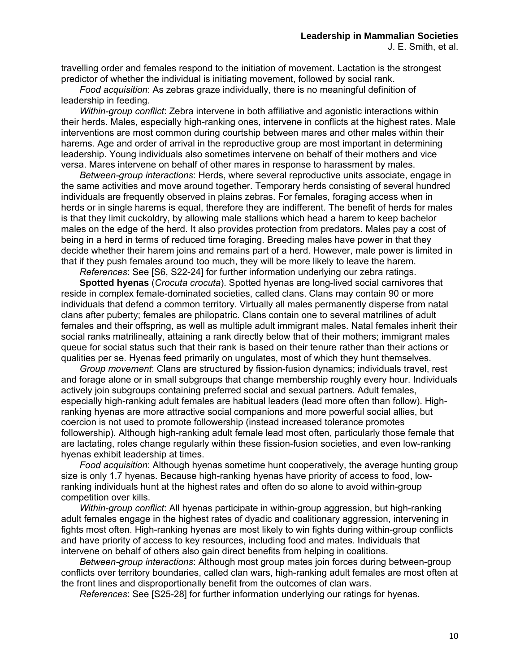travelling order and females respond to the initiation of movement. Lactation is the strongest predictor of whether the individual is initiating movement, followed by social rank.

*Food acquisition*: As zebras graze individually, there is no meaningful definition of leadership in feeding.

*Within-group conflict*: Zebra intervene in both affiliative and agonistic interactions within their herds. Males, especially high-ranking ones, intervene in conflicts at the highest rates. Male interventions are most common during courtship between mares and other males within their harems. Age and order of arrival in the reproductive group are most important in determining leadership. Young individuals also sometimes intervene on behalf of their mothers and vice versa. Mares intervene on behalf of other mares in response to harassment by males.

*Between-group interactions*: Herds, where several reproductive units associate, engage in the same activities and move around together. Temporary herds consisting of several hundred individuals are frequently observed in plains zebras. For females, foraging access when in herds or in single harems is equal, therefore they are indifferent. The benefit of herds for males is that they limit cuckoldry, by allowing male stallions which head a harem to keep bachelor males on the edge of the herd. It also provides protection from predators. Males pay a cost of being in a herd in terms of reduced time foraging. Breeding males have power in that they decide whether their harem joins and remains part of a herd. However, male power is limited in that if they push females around too much, they will be more likely to leave the harem.

*References*: See [S6, S22-24] for further information underlying our zebra ratings.

 **Spotted hyenas** (*Crocuta crocuta*). Spotted hyenas are long-lived social carnivores that reside in complex female-dominated societies, called clans. Clans may contain 90 or more individuals that defend a common territory. Virtually all males permanently disperse from natal clans after puberty; females are philopatric. Clans contain one to several matrilines of adult females and their offspring, as well as multiple adult immigrant males. Natal females inherit their social ranks matrilineally, attaining a rank directly below that of their mothers; immigrant males queue for social status such that their rank is based on their tenure rather than their actions or qualities per se. Hyenas feed primarily on ungulates, most of which they hunt themselves.

*Group movement*: Clans are structured by fission-fusion dynamics; individuals travel, rest and forage alone or in small subgroups that change membership roughly every hour. Individuals actively join subgroups containing preferred social and sexual partners. Adult females, especially high-ranking adult females are habitual leaders (lead more often than follow). Highranking hyenas are more attractive social companions and more powerful social allies, but coercion is not used to promote followership (instead increased tolerance promotes followership). Although high-ranking adult female lead most often, particularly those female that are lactating, roles change regularly within these fission-fusion societies, and even low-ranking hyenas exhibit leadership at times.

*Food acquisition*: Although hyenas sometime hunt cooperatively, the average hunting group size is only 1.7 hyenas. Because high-ranking hyenas have priority of access to food, lowranking individuals hunt at the highest rates and often do so alone to avoid within-group competition over kills.

*Within-group conflict*: All hyenas participate in within-group aggression, but high-ranking adult females engage in the highest rates of dyadic and coalitionary aggression, intervening in fights most often. High-ranking hyenas are most likely to win fights during within-group conflicts and have priority of access to key resources, including food and mates. Individuals that intervene on behalf of others also gain direct benefits from helping in coalitions.

 *Between-group interactions*: Although most group mates join forces during between-group conflicts over territory boundaries, called clan wars, high-ranking adult females are most often at the front lines and disproportionally benefit from the outcomes of clan wars.

*References*: See [S25-28] for further information underlying our ratings for hyenas.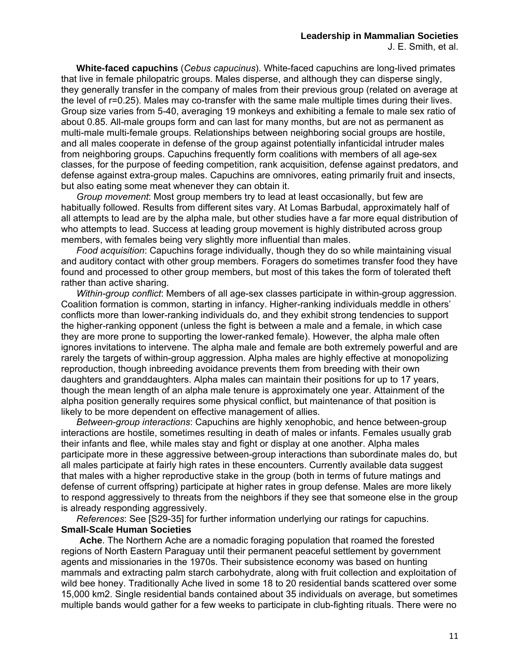**White-faced capuchins** (*Cebus capucinus*). White-faced capuchins are long-lived primates that live in female philopatric groups. Males disperse, and although they can disperse singly, they generally transfer in the company of males from their previous group (related on average at the level of r=0.25). Males may co-transfer with the same male multiple times during their lives. Group size varies from 5-40, averaging 19 monkeys and exhibiting a female to male sex ratio of about 0.85. All-male groups form and can last for many months, but are not as permanent as multi-male multi-female groups. Relationships between neighboring social groups are hostile, and all males cooperate in defense of the group against potentially infanticidal intruder males from neighboring groups. Capuchins frequently form coalitions with members of all age-sex classes, for the purpose of feeding competition, rank acquisition, defense against predators, and defense against extra-group males. Capuchins are omnivores, eating primarily fruit and insects, but also eating some meat whenever they can obtain it.

*Group movement*: Most group members try to lead at least occasionally, but few are habitually followed. Results from different sites vary. At Lomas Barbudal, approximately half of all attempts to lead are by the alpha male, but other studies have a far more equal distribution of who attempts to lead. Success at leading group movement is highly distributed across group members, with females being very slightly more influential than males.

*Food acquisition*: Capuchins forage individually, though they do so while maintaining visual and auditory contact with other group members. Foragers do sometimes transfer food they have found and processed to other group members, but most of this takes the form of tolerated theft rather than active sharing.

*Within-group conflict*: Members of all age-sex classes participate in within-group aggression. Coalition formation is common, starting in infancy. Higher-ranking individuals meddle in others' conflicts more than lower-ranking individuals do, and they exhibit strong tendencies to support the higher-ranking opponent (unless the fight is between a male and a female, in which case they are more prone to supporting the lower-ranked female). However, the alpha male often ignores invitations to intervene. The alpha male and female are both extremely powerful and are rarely the targets of within-group aggression. Alpha males are highly effective at monopolizing reproduction, though inbreeding avoidance prevents them from breeding with their own daughters and granddaughters. Alpha males can maintain their positions for up to 17 years, though the mean length of an alpha male tenure is approximately one year. Attainment of the alpha position generally requires some physical conflict, but maintenance of that position is likely to be more dependent on effective management of allies.

*Between-group interactions*: Capuchins are highly xenophobic, and hence between-group interactions are hostile, sometimes resulting in death of males or infants. Females usually grab their infants and flee, while males stay and fight or display at one another. Alpha males participate more in these aggressive between-group interactions than subordinate males do, but all males participate at fairly high rates in these encounters. Currently available data suggest that males with a higher reproductive stake in the group (both in terms of future matings and defense of current offspring) participate at higher rates in group defense. Males are more likely to respond aggressively to threats from the neighbors if they see that someone else in the group is already responding aggressively.

*References*: See [S29-35] for further information underlying our ratings for capuchins. **Small-Scale Human Societies** 

 **Ache**. The Northern Ache are a nomadic foraging population that roamed the forested regions of North Eastern Paraguay until their permanent peaceful settlement by government agents and missionaries in the 1970s. Their subsistence economy was based on hunting mammals and extracting palm starch carbohydrate, along with fruit collection and exploitation of wild bee honey. Traditionally Ache lived in some 18 to 20 residential bands scattered over some 15,000 km2. Single residential bands contained about 35 individuals on average, but sometimes multiple bands would gather for a few weeks to participate in club-fighting rituals. There were no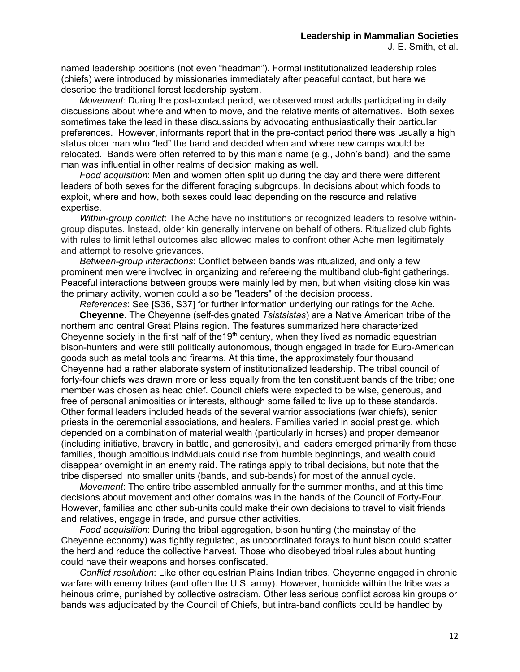*Movement*: During the post-contact period, we observed most adults participating in daily discussions about where and when to move, and the relative merits of alternatives. Both sexes sometimes take the lead in these discussions by advocating enthusiastically their particular preferences. However, informants report that in the pre-contact period there was usually a high status older man who "led" the band and decided when and where new camps would be relocated. Bands were often referred to by this man's name (e.g., John's band), and the same man was influential in other realms of decision making as well.

*Food acquisition*: Men and women often split up during the day and there were different leaders of both sexes for the different foraging subgroups. In decisions about which foods to exploit, where and how, both sexes could lead depending on the resource and relative expertise.

*Within-group conflict*: The Ache have no institutions or recognized leaders to resolve withingroup disputes. Instead, older kin generally intervene on behalf of others. Ritualized club fights with rules to limit lethal outcomes also allowed males to confront other Ache men legitimately and attempt to resolve grievances.

 *Between-group interactions*: Conflict between bands was ritualized, and only a few prominent men were involved in organizing and refereeing the multiband club-fight gatherings. Peaceful interactions between groups were mainly led by men, but when visiting close kin was the primary activity, women could also be "leaders" of the decision process.

*References*: See [S36, S37] for further information underlying our ratings for the Ache.  **Cheyenne**. The Cheyenne (self-designated *Tsistsistas*) are a Native American tribe of the northern and central Great Plains region. The features summarized here characterized Chevenne society in the first half of the19<sup>th</sup> century, when they lived as nomadic equestrian bison-hunters and were still politically autonomous, though engaged in trade for Euro-American goods such as metal tools and firearms. At this time, the approximately four thousand Cheyenne had a rather elaborate system of institutionalized leadership. The tribal council of forty-four chiefs was drawn more or less equally from the ten constituent bands of the tribe; one member was chosen as head chief. Council chiefs were expected to be wise, generous, and free of personal animosities or interests, although some failed to live up to these standards. Other formal leaders included heads of the several warrior associations (war chiefs), senior priests in the ceremonial associations, and healers. Families varied in social prestige, which depended on a combination of material wealth (particularly in horses) and proper demeanor (including initiative, bravery in battle, and generosity), and leaders emerged primarily from these families, though ambitious individuals could rise from humble beginnings, and wealth could disappear overnight in an enemy raid. The ratings apply to tribal decisions, but note that the tribe dispersed into smaller units (bands, and sub-bands) for most of the annual cycle.

 *Movement*: The entire tribe assembled annually for the summer months, and at this time decisions about movement and other domains was in the hands of the Council of Forty-Four. However, families and other sub-units could make their own decisions to travel to visit friends and relatives, engage in trade, and pursue other activities.

 *Food acquisition*: During the tribal aggregation, bison hunting (the mainstay of the Cheyenne economy) was tightly regulated, as uncoordinated forays to hunt bison could scatter the herd and reduce the collective harvest. Those who disobeyed tribal rules about hunting could have their weapons and horses confiscated.

 *Conflict resolution*: Like other equestrian Plains Indian tribes, Cheyenne engaged in chronic warfare with enemy tribes (and often the U.S. army). However, homicide within the tribe was a heinous crime, punished by collective ostracism. Other less serious conflict across kin groups or bands was adjudicated by the Council of Chiefs, but intra-band conflicts could be handled by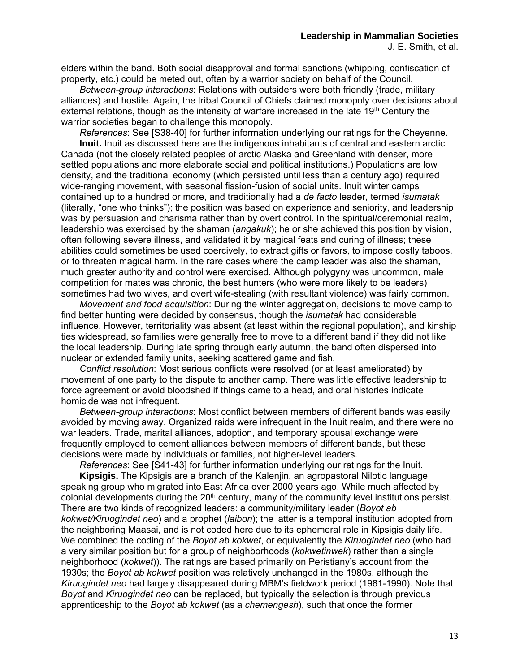elders within the band. Both social disapproval and formal sanctions (whipping, confiscation of property, etc.) could be meted out, often by a warrior society on behalf of the Council.

 *Between-group interactions*: Relations with outsiders were both friendly (trade, military alliances) and hostile. Again, the tribal Council of Chiefs claimed monopoly over decisions about external relations, though as the intensity of warfare increased in the late  $19<sup>th</sup>$  Century the warrior societies began to challenge this monopoly.

*References*: See [S38-40] for further information underlying our ratings for the Cheyenne.

 **Inuit.** Inuit as discussed here are the indigenous inhabitants of central and eastern arctic Canada (not the closely related peoples of arctic Alaska and Greenland with denser, more settled populations and more elaborate social and political institutions.) Populations are low density, and the traditional economy (which persisted until less than a century ago) required wide-ranging movement, with seasonal fission-fusion of social units. Inuit winter camps contained up to a hundred or more, and traditionally had a *de facto* leader, termed *isumatak* (literally, "one who thinks"); the position was based on experience and seniority, and leadership was by persuasion and charisma rather than by overt control. In the spiritual/ceremonial realm, leadership was exercised by the shaman (*angakuk*); he or she achieved this position by vision, often following severe illness, and validated it by magical feats and curing of illness; these abilities could sometimes be used coercively, to extract gifts or favors, to impose costly taboos, or to threaten magical harm. In the rare cases where the camp leader was also the shaman, much greater authority and control were exercised. Although polygyny was uncommon, male competition for mates was chronic, the best hunters (who were more likely to be leaders) sometimes had two wives, and overt wife-stealing (with resultant violence) was fairly common.

 *Movement and food acquisition*: During the winter aggregation, decisions to move camp to find better hunting were decided by consensus, though the *isumatak* had considerable influence. However, territoriality was absent (at least within the regional population), and kinship ties widespread, so families were generally free to move to a different band if they did not like the local leadership. During late spring through early autumn, the band often dispersed into nuclear or extended family units, seeking scattered game and fish.

 *Conflict resolution*: Most serious conflicts were resolved (or at least ameliorated) by movement of one party to the dispute to another camp. There was little effective leadership to force agreement or avoid bloodshed if things came to a head, and oral histories indicate homicide was not infrequent.

 *Between-group interactions*: Most conflict between members of different bands was easily avoided by moving away. Organized raids were infrequent in the Inuit realm, and there were no war leaders. Trade, marital alliances, adoption, and temporary spousal exchange were frequently employed to cement alliances between members of different bands, but these decisions were made by individuals or families, not higher-level leaders.

*References*: See [S41-43] for further information underlying our ratings for the Inuit.

 **Kipsigis.** The Kipsigis are a branch of the Kalenjin, an agropastoral Nilotic language speaking group who migrated into East Africa over 2000 years ago. While much affected by colonial developments during the 20<sup>th</sup> century, many of the community level institutions persist. There are two kinds of recognized leaders: a community/military leader (*Boyot ab kokwet/Kiruogindet neo*) and a prophet (*laibon*); the latter is a temporal institution adopted from the neighboring Maasai, and is not coded here due to its ephemeral role in Kipsigis daily life. We combined the coding of the *Boyot ab kokwet*, or equivalently the *Kiruogindet neo* (who had a very similar position but for a group of neighborhoods (*kokwetinwek*) rather than a single neighborhood (*kokwet*)). The ratings are based primarily on Peristiany's account from the 1930s; the *Boyot ab kokwet* position was relatively unchanged in the 1980s, although the *Kiruogindet neo* had largely disappeared during MBM's fieldwork period (1981-1990). Note that *Boyot* and *Kiruogindet neo* can be replaced, but typically the selection is through previous apprenticeship to the *Boyot ab kokwet* (as a *chemengesh*), such that once the former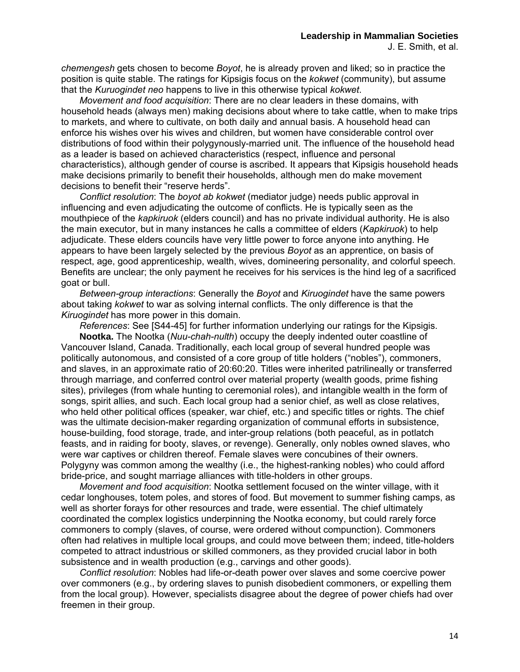*chemengesh* gets chosen to become *Boyot*, he is already proven and liked; so in practice the position is quite stable. The ratings for Kipsigis focus on the *kokwet* (community), but assume that the *Kuruogindet neo* happens to live in this otherwise typical *kokwet*.

*Movement and food acquisition*: There are no clear leaders in these domains, with household heads (always men) making decisions about where to take cattle, when to make trips to markets, and where to cultivate, on both daily and annual basis. A household head can enforce his wishes over his wives and children, but women have considerable control over distributions of food within their polygynously-married unit. The influence of the household head as a leader is based on achieved characteristics (respect, influence and personal characteristics), although gender of course is ascribed. It appears that Kipsigis household heads make decisions primarily to benefit their households, although men do make movement decisions to benefit their "reserve herds".

*Conflict resolution*: The *boyot ab kokwet* (mediator judge) needs public approval in influencing and even adjudicating the outcome of conflicts. He is typically seen as the mouthpiece of the *kapkiruok* (elders council) and has no private individual authority. He is also the main executor, but in many instances he calls a committee of elders (*Kapkiruok*) to help adjudicate. These elders councils have very little power to force anyone into anything. He appears to have been largely selected by the previous *Boyot* as an apprentice, on basis of respect, age, good apprenticeship, wealth, wives, domineering personality, and colorful speech. Benefits are unclear; the only payment he receives for his services is the hind leg of a sacrificed goat or bull.

 *Between-group interactions*: Generally the *Boyot* and *Kiruogindet* have the same powers about taking *kokwet* to war as solving internal conflicts. The only difference is that the *Kiruogindet* has more power in this domain.

*References*: See [S44-45] for further information underlying our ratings for the Kipsigis.

 **Nootka.** The Nootka (*Nuu-chah-nulth*) occupy the deeply indented outer coastline of Vancouver Island, Canada. Traditionally, each local group of several hundred people was politically autonomous, and consisted of a core group of title holders ("nobles"), commoners, and slaves, in an approximate ratio of 20:60:20. Titles were inherited patrilineally or transferred through marriage, and conferred control over material property (wealth goods, prime fishing sites), privileges (from whale hunting to ceremonial roles), and intangible wealth in the form of songs, spirit allies, and such. Each local group had a senior chief, as well as close relatives, who held other political offices (speaker, war chief, etc.) and specific titles or rights. The chief was the ultimate decision-maker regarding organization of communal efforts in subsistence, house-building, food storage, trade, and inter-group relations (both peaceful, as in potlatch feasts, and in raiding for booty, slaves, or revenge). Generally, only nobles owned slaves, who were war captives or children thereof. Female slaves were concubines of their owners. Polygyny was common among the wealthy (i.e., the highest-ranking nobles) who could afford bride-price, and sought marriage alliances with title-holders in other groups.

 *Movement and food acquisition*: Nootka settlement focused on the winter village, with it cedar longhouses, totem poles, and stores of food. But movement to summer fishing camps, as well as shorter forays for other resources and trade, were essential. The chief ultimately coordinated the complex logistics underpinning the Nootka economy, but could rarely force commoners to comply (slaves, of course, were ordered without compunction). Commoners often had relatives in multiple local groups, and could move between them; indeed, title-holders competed to attract industrious or skilled commoners, as they provided crucial labor in both subsistence and in wealth production (e.g., carvings and other goods).

 *Conflict resolution*: Nobles had life-or-death power over slaves and some coercive power over commoners (e.g., by ordering slaves to punish disobedient commoners, or expelling them from the local group). However, specialists disagree about the degree of power chiefs had over freemen in their group.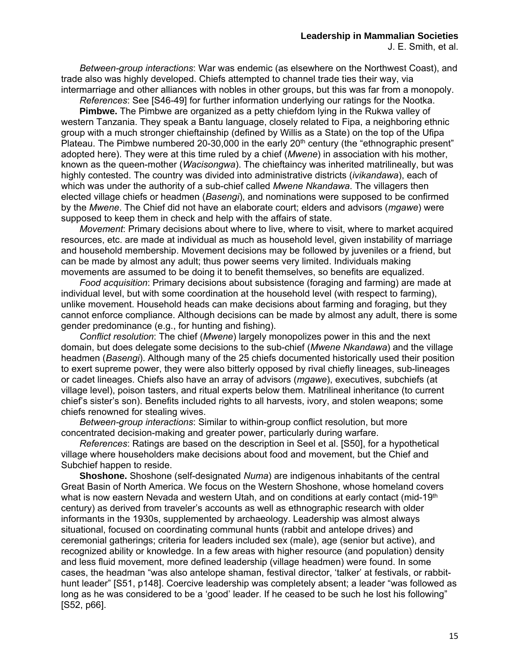*Between-group interactions*: War was endemic (as elsewhere on the Northwest Coast), and trade also was highly developed. Chiefs attempted to channel trade ties their way, via intermarriage and other alliances with nobles in other groups, but this was far from a monopoly.

 *References*: See [S46-49] for further information underlying our ratings for the Nootka.

 **Pimbwe.** The Pimbwe are organized as a petty chiefdom lying in the Rukwa valley of western Tanzania. They speak a Bantu language, closely related to Fipa, a neighboring ethnic group with a much stronger chieftainship (defined by Willis as a State) on the top of the Ufipa Plateau. The Pimbwe numbered 20-30,000 in the early  $20<sup>th</sup>$  century (the "ethnographic present" adopted here). They were at this time ruled by a chief (*Mwene*) in association with his mother, known as the queen-mother (*Wacisongwa*). The chieftaincy was inherited matrilineally, but was highly contested. The country was divided into administrative districts (*ivikandawa*), each of which was under the authority of a sub-chief called *Mwene Nkandawa*. The villagers then elected village chiefs or headmen (*Basengi*), and nominations were supposed to be confirmed by the *Mwene*. The Chief did not have an elaborate court; elders and advisors (*mgawe*) were supposed to keep them in check and help with the affairs of state.

 *Movement*: Primary decisions about where to live, where to visit, where to market acquired resources, etc. are made at individual as much as household level, given instability of marriage and household membership. Movement decisions may be followed by juveniles or a friend, but can be made by almost any adult; thus power seems very limited. Individuals making movements are assumed to be doing it to benefit themselves, so benefits are equalized.

 *Food acquisition*: Primary decisions about subsistence (foraging and farming) are made at individual level, but with some coordination at the household level (with respect to farming), unlike movement. Household heads can make decisions about farming and foraging, but they cannot enforce compliance. Although decisions can be made by almost any adult, there is some gender predominance (e.g., for hunting and fishing).

 *Conflict resolution*: The chief (*Mwene*) largely monopolizes power in this and the next domain, but does delegate some decisions to the sub-chief (*Mwene Nkandawa*) and the village headmen (*Basengi*). Although many of the 25 chiefs documented historically used their position to exert supreme power, they were also bitterly opposed by rival chiefly lineages, sub-lineages or cadet lineages. Chiefs also have an array of advisors (*mgawe*), executives, subchiefs (at village level), poison tasters, and ritual experts below them. Matrilineal inheritance (to current chief's sister's son). Benefits included rights to all harvests, ivory, and stolen weapons; some chiefs renowned for stealing wives.

 *Between-group interactions*: Similar to within-group conflict resolution, but more concentrated decision-making and greater power, particularly during warfare.

*References*: Ratings are based on the description in Seel et al. [S50], for a hypothetical village where householders make decisions about food and movement, but the Chief and Subchief happen to reside.

 **Shoshone.** Shoshone (self-designated *Numa*) are indigenous inhabitants of the central Great Basin of North America. We focus on the Western Shoshone, whose homeland covers what is now eastern Nevada and western Utah, and on conditions at early contact (mid-19<sup>th</sup> century) as derived from traveler's accounts as well as ethnographic research with older informants in the 1930s, supplemented by archaeology. Leadership was almost always situational, focused on coordinating communal hunts (rabbit and antelope drives) and ceremonial gatherings; criteria for leaders included sex (male), age (senior but active), and recognized ability or knowledge. In a few areas with higher resource (and population) density and less fluid movement, more defined leadership (village headmen) were found. In some cases, the headman "was also antelope shaman, festival director, 'talker' at festivals, or rabbithunt leader" [S51, p148]. Coercive leadership was completely absent; a leader "was followed as long as he was considered to be a 'good' leader. If he ceased to be such he lost his following" [S52, p66].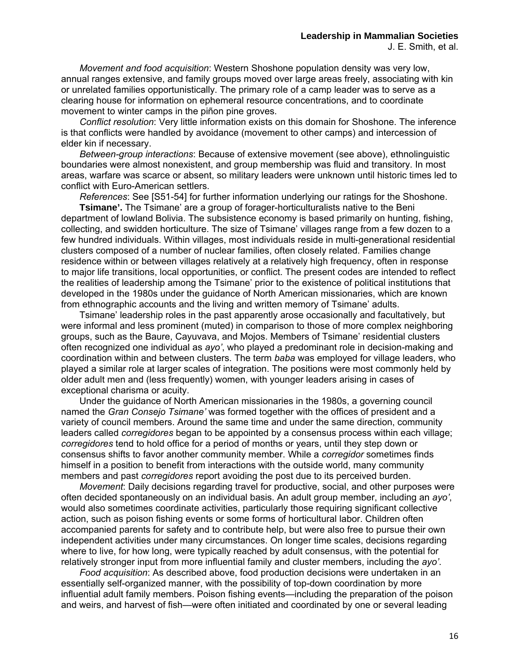*Movement and food acquisition*: Western Shoshone population density was very low, annual ranges extensive, and family groups moved over large areas freely, associating with kin or unrelated families opportunistically. The primary role of a camp leader was to serve as a clearing house for information on ephemeral resource concentrations, and to coordinate movement to winter camps in the piñon pine groves.

 *Conflict resolution*: Very little information exists on this domain for Shoshone. The inference is that conflicts were handled by avoidance (movement to other camps) and intercession of elder kin if necessary.

 *Between-group interactions*: Because of extensive movement (see above), ethnolinguistic boundaries were almost nonexistent, and group membership was fluid and transitory. In most areas, warfare was scarce or absent, so military leaders were unknown until historic times led to conflict with Euro-American settlers.

 *References*: See [S51-54] for further information underlying our ratings for the Shoshone.

 **Tsimane'.** The Tsimane' are a group of forager-horticulturalists native to the Beni department of lowland Bolivia. The subsistence economy is based primarily on hunting, fishing, collecting, and swidden horticulture. The size of Tsimane' villages range from a few dozen to a few hundred individuals. Within villages, most individuals reside in multi-generational residential clusters composed of a number of nuclear families, often closely related. Families change residence within or between villages relatively at a relatively high frequency, often in response to major life transitions, local opportunities, or conflict. The present codes are intended to reflect the realities of leadership among the Tsimane' prior to the existence of political institutions that developed in the 1980s under the guidance of North American missionaries, which are known from ethnographic accounts and the living and written memory of Tsimane' adults.

 Tsimane' leadership roles in the past apparently arose occasionally and facultatively, but were informal and less prominent (muted) in comparison to those of more complex neighboring groups, such as the Baure, Cayuvava, and Mojos. Members of Tsimane' residential clusters often recognized one individual as *ayo'*, who played a predominant role in decision-making and coordination within and between clusters. The term *baba* was employed for village leaders, who played a similar role at larger scales of integration. The positions were most commonly held by older adult men and (less frequently) women, with younger leaders arising in cases of exceptional charisma or acuity.

 Under the guidance of North American missionaries in the 1980s, a governing council named the *Gran Consejo Tsimane'* was formed together with the offices of president and a variety of council members. Around the same time and under the same direction, community leaders called *corregidores* began to be appointed by a consensus process within each village; *corregidores* tend to hold office for a period of months or years, until they step down or consensus shifts to favor another community member. While a *corregidor* sometimes finds himself in a position to benefit from interactions with the outside world, many community members and past *corregidores* report avoiding the post due to its perceived burden.

*Movement*: Daily decisions regarding travel for productive, social, and other purposes were often decided spontaneously on an individual basis. An adult group member, including an *ayo'*, would also sometimes coordinate activities, particularly those requiring significant collective action, such as poison fishing events or some forms of horticultural labor. Children often accompanied parents for safety and to contribute help, but were also free to pursue their own independent activities under many circumstances. On longer time scales, decisions regarding where to live, for how long, were typically reached by adult consensus, with the potential for relatively stronger input from more influential family and cluster members, including the *ayo'*.

*Food acquisition*: As described above, food production decisions were undertaken in an essentially self-organized manner, with the possibility of top-down coordination by more influential adult family members. Poison fishing events—including the preparation of the poison and weirs, and harvest of fish—were often initiated and coordinated by one or several leading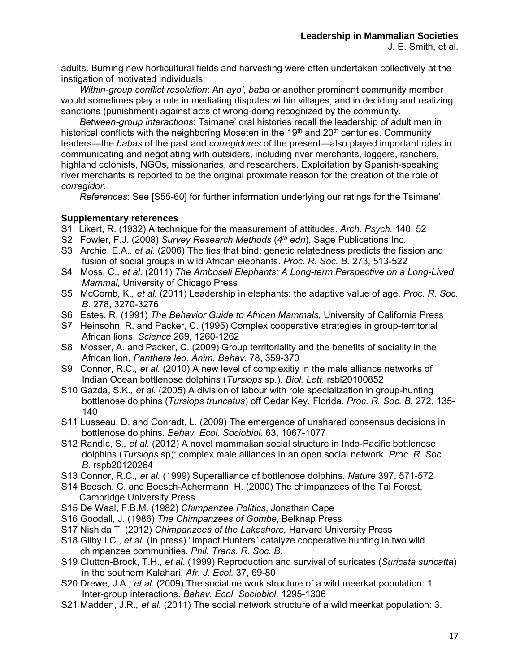adults. Burning new horticultural fields and harvesting were often undertaken collectively at the instigation of motivated individuals.

*Within-group conflict resolution*: An *ayo'*, *baba* or another prominent community member would sometimes play a role in mediating disputes within villages, and in deciding and realizing sanctions (punishment) against acts of wrong-doing recognized by the community.

*Between-group interactions*: Tsimane' oral histories recall the leadership of adult men in historical conflicts with the neighboring Moseten in the  $19<sup>th</sup>$  and  $20<sup>th</sup>$  centuries. Community leaders—the *babas* of the past and *corregidores* of the present—also played important roles in communicating and negotiating with outsiders, including river merchants, loggers, ranchers, highland colonists, NGOs, missionaries, and researchers. Exploitation by Spanish-speaking river merchants is reported to be the original proximate reason for the creation of the role of *corregidor*.

 *References*: See [S55-60] for further information underlying our ratings for the Tsimane'.

### **Supplementary references**

- S1 Likert, R. (1932) A technique for the measurement of attitudes. *Arch. Psych.* 140, 52
- S2 Fowler, F.J. (2008) *Survey Research Methods* (*4th edn*), Sage Publications Inc.
- S3 Archie, E.A.*, et al.* (2006) The ties that bind: genetic relatedness predicts the fission and fusion of social groups in wild African elephants. *Proc. R. Soc. B.* 273, 513-522
- S4 Moss, C.*, et al.* (2011) *The Amboseli Elephants: A Long-term Perspective on a Long-Lived Mammal,* University of Chicago Press
- S5 McComb, K.*, et al.* (2011) Leadership in elephants: the adaptive value of age. *Proc. R. Soc. B.* 278, 3270-3276
- S6 Estes, R. (1991) *The Behavior Guide to African Mammals,* University of California Press
- S7 Heinsohn, R. and Packer, C. (1995) Complex cooperative strategies in group-territorial African lions. *Science* 269, 1260-1262
- S8 Mosser, A. and Packer, C. (2009) Group territoriality and the benefits of sociality in the African lion, *Panthera leo*. *Anim. Behav.* 78, 359-370
- S9 Connor, R.C.*, et al.* (2010) A new level of complexitiy in the male alliance networks of Indian Ocean bottlenose dolphins (*Tursiops* sp.). *Biol. Lett.* rsbl20100852
- S10 Gazda, S.K.*, et al.* (2005) A division of labour with role specialization in group-hunting bottlenose dolphins (*Tursiops truncatus*) off Cedar Key, Florida. *Proc. R. Soc. B.* 272, 135- 140
- S11 Lusseau, D. and Conradt, L. (2009) The emergence of unshared consensus decisions in bottlenose dolphins. *Behav. Ecol. Sociobiol.* 63, 1067-1077
- S12 RandÌc, S.*, et al.* (2012) A novel mammalian social structure in Indo-Pacific bottlenose dolphins (*Tursiops* sp): complex male alliances in an open social network. *Proc. R. Soc. B.* rspb20120264
- S13 Connor, R.C.*, et al.* (1999) Superalliance of bottlenose dolphins. *Nature* 397, 571-572
- S14 Boesch, C. and Boesch-Achermann, H. (2000) The chimpanzees of the Tai Forest, Cambridge University Press
- S15 De Waal, F.B.M. (1982) *Chimpanzee Politics*, Jonathan Cape
- S16 Goodall, J. (1986) *The Chimpanzees of Gombe*, Belknap Press
- S17 Nishida T. (2012) *Chimpanzees of the Lakeshore,* Harvard University Press
- S18 Gilby I.C., *et al.* (In press) "Impact Hunters" catalyze cooperative hunting in two wild chimpanzee communities. *Phil. Trans. R. Soc. B*.
- S19 Clutton-Brock, T.H.*, et al.* (1999) Reproduction and survival of suricates (*Suricata suricatta*) in the southern Kalahari. *Afr. J. Ecol.* 37, 69-80
- S20 Drewe, J.A.*, et al.* (2009) The social network structure of a wild meerkat population: 1. Inter-group interactions. *Behav. Ecol. Sociobiol.* 1295-1306
- S21 Madden, J.R.*, et al.* (2011) The social network structure of a wild meerkat population: 3.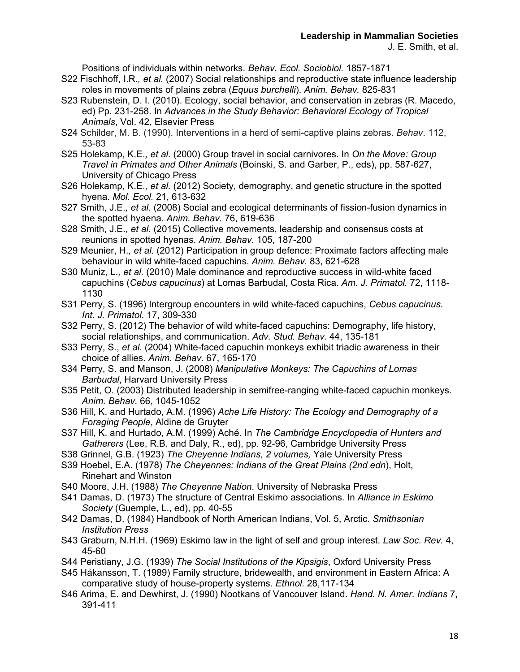Positions of individuals within networks. *Behav. Ecol. Sociobiol.* 1857-1871

- S22 Fischhoff, I.R.*, et al.* (2007) Social relationships and reproductive state influence leadership roles in movements of plains zebra (*Equus burchelli*). *Anim. Behav.* 825-831
- S23 Rubenstein, D. I. (2010). Ecology, social behavior, and conservation in zebras (R. Macedo, ed) Pp. 231-258. In *Advances in the Study Behavior: Behavioral Ecology of Tropical Animals*, Vol. 42, Elsevier Press
- S24 Schilder, M. B. (1990). Interventions in a herd of semi-captive plains zebras. *Behav*. 112, 53-83
- S25 Holekamp, K.E.*, et al.* (2000) Group travel in social carnivores. In *On the Move: Group Travel in Primates and Other Animals* (Boinski, S. and Garber, P., eds), pp. 587-627, University of Chicago Press
- S26 Holekamp, K.E.*, et al.* (2012) Society, demography, and genetic structure in the spotted hyena. *Mol. Ecol.* 21, 613-632
- S27 Smith, J.E.*, et al.* (2008) Social and ecological determinants of fission-fusion dynamics in the spotted hyaena. *Anim. Behav.* 76, 619-636
- S28 Smith, J.E.*, et al.* (2015) Collective movements, leadership and consensus costs at reunions in spotted hyenas. *Anim. Behav.* 105, 187-200
- S29 Meunier, H.*, et al.* (2012) Participation in group defence: Proximate factors affecting male behaviour in wild white-faced capuchins. *Anim. Behav.* 83, 621-628
- S30 Muniz, L.*, et al.* (2010) Male dominance and reproductive success in wild-white faced capuchins (*Cebus capucinus*) at Lomas Barbudal, Costa Rica. *Am. J. Primatol.* 72, 1118- 1130
- S31 Perry, S. (1996) Intergroup encounters in wild white-faced capuchins, *Cebus capucinus. Int. J. Primatol.* 17, 309-330
- S32 Perry, S. (2012) The behavior of wild white-faced capuchins: Demography, life history, social relationships, and communication. *Adv. Stud. Behav.* 44, 135-181
- S33 Perry, S., *et al*. (2004) White-faced capuchin monkeys exhibit triadic awareness in their choice of allies. *Anim. Behav.* 67, 165-170
- S34 Perry, S. and Manson, J. (2008) *Manipulative Monkeys: The Capuchins of Lomas Barbudal*, Harvard University Press
- S35 Petit, O. (2003) Distributed leadership in semifree-ranging white-faced capuchin monkeys. *Anim. Behav.* 66, 1045-1052
- S36 Hill, K. and Hurtado, A.M. (1996) *Ache Life History: The Ecology and Demography of a Foraging People*, Aldine de Gruyter
- S37 Hill, K. and Hurtado, A.M. (1999) Aché. In *The Cambridge Encyclopedia of Hunters and Gatherers* (Lee, R.B. and Daly, R., ed), pp. 92-96, Cambridge University Press
- S38 Grinnel, G.B. (1923) *The Cheyenne Indians, 2 volumes,* Yale University Press
- S39 Hoebel, E.A. (1978) *The Cheyennes: Indians of the Great Plains (2nd edn*), Holt, Rinehart and Winston
- S40 Moore, J.H. (1988) *The Cheyenne Nation*. University of Nebraska Press
- S41 Damas, D. (1973) The structure of Central Eskimo associations. In *Alliance in Eskimo Society* (Guemple, L., ed), pp. 40-55
- S42 Damas, D. (1984) Handbook of North American Indians, Vol. 5, Arctic. *Smithsonian Institution Press*
- S43 Graburn, N.H.H. (1969) Eskimo law in the light of self and group interest. *Law Soc. Rev.* 4, 45-60
- S44 Peristiany, J.G. (1939) *The Social Institutions of the Kipsigis*, Oxford University Press
- S45 Håkansson, T. (1989) Family structure, bridewealth, and environment in Eastern Africa: A comparative study of house-property systems. *Ethnol.* 28,117-134
- S46 Arima, E. and Dewhirst, J. (1990) Nootkans of Vancouver Island. *Hand. N. Amer. Indians* 7, 391-411